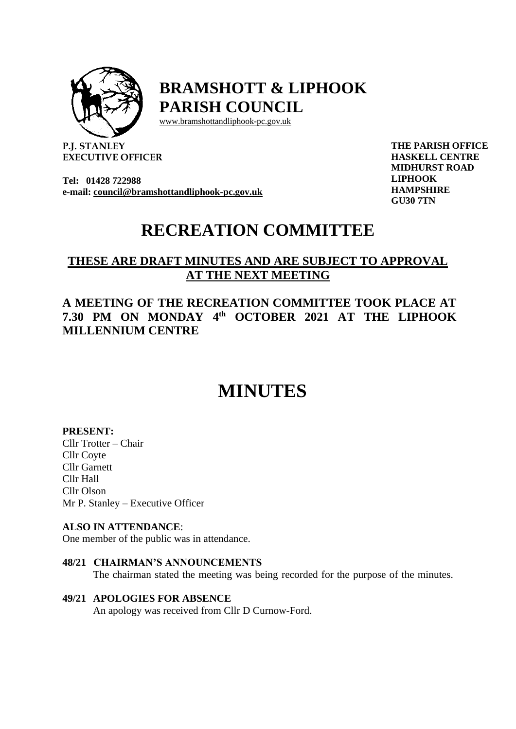

## **BRAMSHOTT & LIPHOOK PARISH COUNCIL**

[www.bramshottandl](http://www.bramshottand/)iphook-pc.gov.uk

**P.J. STANLEY EXECUTIVE OFFICER**

**Tel: 01428 722988 e-mail: [council@bramshottandliphook-pc.gov.uk](mailto:council@bramshottandliphook-pc.gov.uk)** **THE PARISH OFFICE HASKELL CENTRE MIDHURST ROAD LIPHOOK HAMPSHIRE GU30 7TN**

## **RECREATION COMMITTEE**

### **THESE ARE DRAFT MINUTES AND ARE SUBJECT TO APPROVAL AT THE NEXT MEETING**

### **A MEETING OF THE RECREATION COMMITTEE TOOK PLACE AT 7.30 PM ON MONDAY 4 th OCTOBER 2021 AT THE LIPHOOK MILLENNIUM CENTRE**

# **MINUTES**

#### **PRESENT:**

Cllr Trotter – Chair Cllr Coyte Cllr Garnett Cllr Hall Cllr Olson Mr P. Stanley – Executive Officer

#### **ALSO IN ATTENDANCE**:

One member of the public was in attendance.

#### **48/21 CHAIRMAN'S ANNOUNCEMENTS**

The chairman stated the meeting was being recorded for the purpose of the minutes.

#### **49/21 APOLOGIES FOR ABSENCE**

An apology was received from Cllr D Curnow-Ford.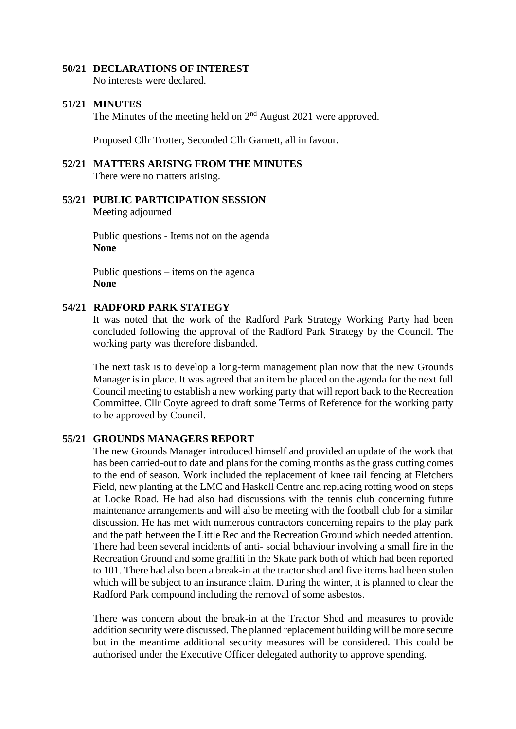#### **50/21 DECLARATIONS OF INTEREST**

No interests were declared.

#### **51/21 MINUTES**

The Minutes of the meeting held on  $2<sup>nd</sup>$  August 2021 were approved.

Proposed Cllr Trotter, Seconded Cllr Garnett, all in favour.

#### **52/21 MATTERS ARISING FROM THE MINUTES** There were no matters arising.

**53/21 PUBLIC PARTICIPATION SESSION** Meeting adjourned

> Public questions - Items not on the agenda **None**

Public questions – items on the agenda **None**

#### **54/21 RADFORD PARK STATEGY**

It was noted that the work of the Radford Park Strategy Working Party had been concluded following the approval of the Radford Park Strategy by the Council. The working party was therefore disbanded.

The next task is to develop a long-term management plan now that the new Grounds Manager is in place. It was agreed that an item be placed on the agenda for the next full Council meeting to establish a new working party that will report back to the Recreation Committee. Cllr Coyte agreed to draft some Terms of Reference for the working party to be approved by Council.

#### **55/21 GROUNDS MANAGERS REPORT**

The new Grounds Manager introduced himself and provided an update of the work that has been carried-out to date and plans for the coming months as the grass cutting comes to the end of season. Work included the replacement of knee rail fencing at Fletchers Field, new planting at the LMC and Haskell Centre and replacing rotting wood on steps at Locke Road. He had also had discussions with the tennis club concerning future maintenance arrangements and will also be meeting with the football club for a similar discussion. He has met with numerous contractors concerning repairs to the play park and the path between the Little Rec and the Recreation Ground which needed attention. There had been several incidents of anti- social behaviour involving a small fire in the Recreation Ground and some graffiti in the Skate park both of which had been reported to 101. There had also been a break-in at the tractor shed and five items had been stolen which will be subject to an insurance claim. During the winter, it is planned to clear the Radford Park compound including the removal of some asbestos.

There was concern about the break-in at the Tractor Shed and measures to provide addition security were discussed. The planned replacement building will be more secure but in the meantime additional security measures will be considered. This could be authorised under the Executive Officer delegated authority to approve spending.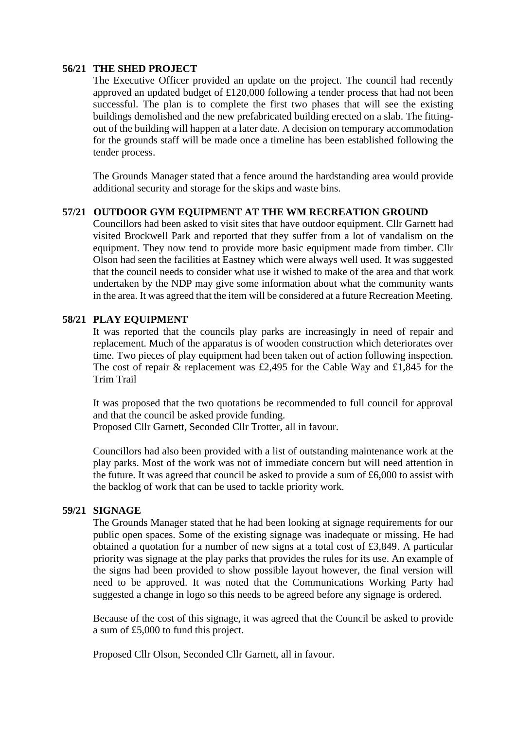#### **56/21 THE SHED PROJECT**

The Executive Officer provided an update on the project. The council had recently approved an updated budget of £120,000 following a tender process that had not been successful. The plan is to complete the first two phases that will see the existing buildings demolished and the new prefabricated building erected on a slab. The fittingout of the building will happen at a later date. A decision on temporary accommodation for the grounds staff will be made once a timeline has been established following the tender process.

The Grounds Manager stated that a fence around the hardstanding area would provide additional security and storage for the skips and waste bins.

#### **57/21 OUTDOOR GYM EQUIPMENT AT THE WM RECREATION GROUND**

Councillors had been asked to visit sites that have outdoor equipment. Cllr Garnett had visited Brockwell Park and reported that they suffer from a lot of vandalism on the equipment. They now tend to provide more basic equipment made from timber. Cllr Olson had seen the facilities at Eastney which were always well used. It was suggested that the council needs to consider what use it wished to make of the area and that work undertaken by the NDP may give some information about what the community wants in the area. It was agreed that the item will be considered at a future Recreation Meeting.

#### **58/21 PLAY EQUIPMENT**

It was reported that the councils play parks are increasingly in need of repair and replacement. Much of the apparatus is of wooden construction which deteriorates over time. Two pieces of play equipment had been taken out of action following inspection. The cost of repair & replacement was £2,495 for the Cable Way and £1,845 for the Trim Trail

It was proposed that the two quotations be recommended to full council for approval and that the council be asked provide funding. Proposed Cllr Garnett, Seconded Cllr Trotter, all in favour.

Councillors had also been provided with a list of outstanding maintenance work at the play parks. Most of the work was not of immediate concern but will need attention in the future. It was agreed that council be asked to provide a sum of £6,000 to assist with the backlog of work that can be used to tackle priority work.

#### **59/21 SIGNAGE**

The Grounds Manager stated that he had been looking at signage requirements for our public open spaces. Some of the existing signage was inadequate or missing. He had obtained a quotation for a number of new signs at a total cost of £3,849. A particular priority was signage at the play parks that provides the rules for its use. An example of the signs had been provided to show possible layout however, the final version will need to be approved. It was noted that the Communications Working Party had suggested a change in logo so this needs to be agreed before any signage is ordered.

Because of the cost of this signage, it was agreed that the Council be asked to provide a sum of £5,000 to fund this project.

Proposed Cllr Olson, Seconded Cllr Garnett, all in favour.